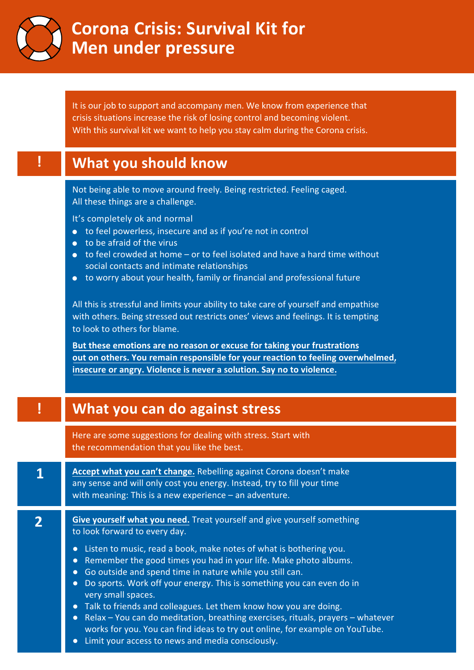

## **Corona Crisis: Survival Kit for Men under pressure**

It is our job to support and accompany men. We know from experience that crisis situations increase the risk of losing control and becoming violent. With this survival kit we want to help you stay calm during the Corona crisis.

|   | What you should know                                                                                                                                                                                                                                                                                                                                                                                                                                                                                                                                                                                                                                                                                                                                                                                                                                                                                             |
|---|------------------------------------------------------------------------------------------------------------------------------------------------------------------------------------------------------------------------------------------------------------------------------------------------------------------------------------------------------------------------------------------------------------------------------------------------------------------------------------------------------------------------------------------------------------------------------------------------------------------------------------------------------------------------------------------------------------------------------------------------------------------------------------------------------------------------------------------------------------------------------------------------------------------|
|   | Not being able to move around freely. Being restricted. Feeling caged.<br>All these things are a challenge.<br>It's completely ok and normal<br>to feel powerless, insecure and as if you're not in control<br>to be afraid of the virus<br>to feel crowded at home - or to feel isolated and have a hard time without<br>social contacts and intimate relationships<br>to worry about your health, family or financial and professional future<br>$\bullet$<br>All this is stressful and limits your ability to take care of yourself and empathise<br>with others. Being stressed out restricts ones' views and feelings. It is tempting<br>to look to others for blame.<br>But these emotions are no reason or excuse for taking your frustrations<br>out on others. You remain responsible for your reaction to feeling overwhelmed,<br>insecure or angry. Violence is never a solution. Say no to violence. |
|   | What you can do against stress                                                                                                                                                                                                                                                                                                                                                                                                                                                                                                                                                                                                                                                                                                                                                                                                                                                                                   |
|   | Here are some suggestions for dealing with stress. Start with                                                                                                                                                                                                                                                                                                                                                                                                                                                                                                                                                                                                                                                                                                                                                                                                                                                    |
|   | the recommendation that you like the best.                                                                                                                                                                                                                                                                                                                                                                                                                                                                                                                                                                                                                                                                                                                                                                                                                                                                       |
| 1 | Accept what you can't change. Rebelling against Corona doesn't make<br>any sense and will only cost you energy. Instead, try to fill your time<br>with meaning: This is a new experience - an adventure.                                                                                                                                                                                                                                                                                                                                                                                                                                                                                                                                                                                                                                                                                                         |

Limit your access to news and media consciously.